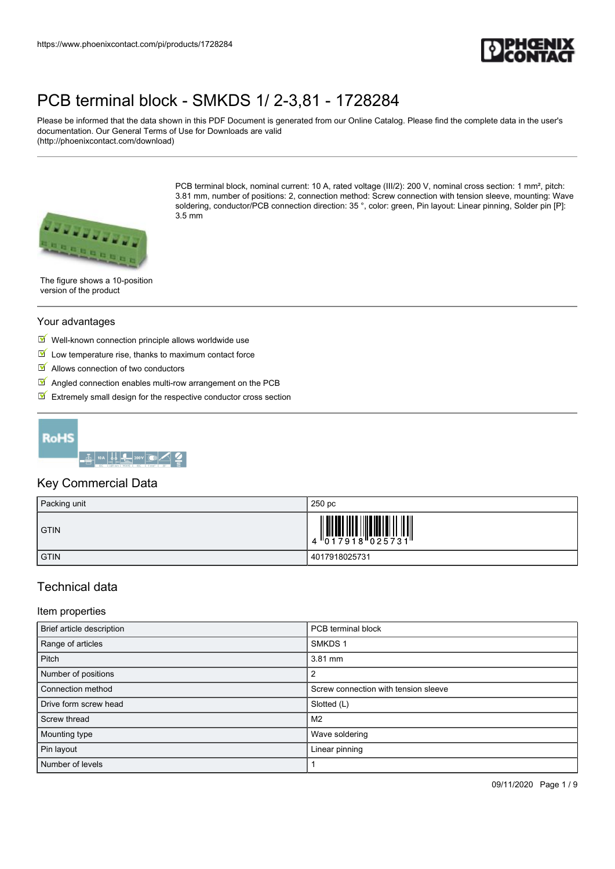

Please be informed that the data shown in this PDF Document is generated from our Online Catalog. Please find the complete data in the user's documentation. Our General Terms of Use for Downloads are valid (http://phoenixcontact.com/download)



PCB terminal block, nominal current: 10 A, rated voltage (III/2): 200 V, nominal cross section: 1 mm², pitch: 3.81 mm, number of positions: 2, connection method: Screw connection with tension sleeve, mounting: Wave soldering, conductor/PCB connection direction: 35°, color: green, Pin layout: Linear pinning, Solder pin [P]: 3.5 mm

The figure shows a 10-position version of the product

#### Your advantages

- $\blacksquare$  Well-known connection principle allows worldwide use
- $\blacksquare$  Low temperature rise, thanks to maximum contact force
- $\blacksquare$  Allows connection of two conductors
- $\blacksquare$  Angled connection enables multi-row arrangement on the PCB
- $\triangleright$  Extremely small design for the respective conductor cross section



### Key Commercial Data

| Packing unit | 250 pc          |
|--------------|-----------------|
| <b>GTIN</b>  | 4 017918 025731 |
| <b>GTIN</b>  | 4017918025731   |

## Technical data

#### Item properties

| Brief article description | PCB terminal block                   |
|---------------------------|--------------------------------------|
| Range of articles         | SMKDS <sub>1</sub>                   |
| Pitch                     | 3.81 mm                              |
| Number of positions       |                                      |
| Connection method         | Screw connection with tension sleeve |
| Drive form screw head     | Slotted (L)                          |
| Screw thread              | M <sub>2</sub>                       |
| Mounting type             | Wave soldering                       |
| Pin layout                | Linear pinning                       |
| Number of levels          |                                      |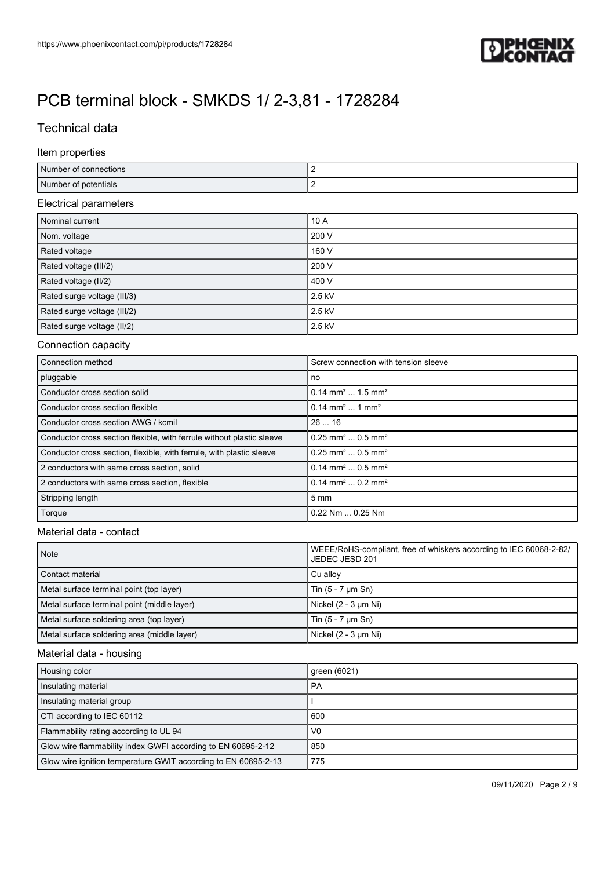

## Technical data

#### Item properties

| Number of<br>connections |  |
|--------------------------|--|
| Number of potentials     |  |

#### Electrical parameters

| Nominal current             | 10A    |
|-----------------------------|--------|
| Nom. voltage                | 200 V  |
| Rated voltage               | 160 V  |
| Rated voltage (III/2)       | 200 V  |
| Rated voltage (II/2)        | 400 V  |
| Rated surge voltage (III/3) | 2.5 kV |
| Rated surge voltage (III/2) | 2.5 kV |
| Rated surge voltage (II/2)  | 2.5 kV |

#### Connection capacity

| Connection method                                                     | Screw connection with tension sleeve         |
|-----------------------------------------------------------------------|----------------------------------------------|
| pluggable                                                             | no                                           |
| Conductor cross section solid                                         | $0.14$ mm <sup>2</sup> 1.5 mm <sup>2</sup>   |
| Conductor cross section flexible                                      | $0.14$ mm <sup>2</sup> 1 mm <sup>2</sup>     |
| Conductor cross section AWG / kcmil                                   | 2616                                         |
| Conductor cross section flexible, with ferrule without plastic sleeve | $0.25$ mm <sup>2</sup> $0.5$ mm <sup>2</sup> |
| Conductor cross section, flexible, with ferrule, with plastic sleeve  | $0.25$ mm <sup>2</sup> $0.5$ mm <sup>2</sup> |
| 2 conductors with same cross section, solid                           | $0.14$ mm <sup>2</sup> $0.5$ mm <sup>2</sup> |
| 2 conductors with same cross section, flexible                        | $0.14$ mm <sup>2</sup> $0.2$ mm <sup>2</sup> |
| Stripping length                                                      | $5 \text{ mm}$                               |
| Torque                                                                | 0.22 Nm  0.25 Nm                             |

#### Material data - contact

| Note                                        | WEEE/RoHS-compliant, free of whiskers according to IEC 60068-2-82/<br>JEDEC JESD 201 |
|---------------------------------------------|--------------------------------------------------------------------------------------|
| Contact material                            | Cu allov                                                                             |
| Metal surface terminal point (top layer)    | Tin $(5 - 7 \mu m \, Sn)$                                                            |
| Metal surface terminal point (middle layer) | Nickel (2 - 3 µm Ni)                                                                 |
| Metal surface soldering area (top layer)    | Tin $(5 - 7 \mu m \, Sn)$                                                            |
| Metal surface soldering area (middle layer) | Nickel $(2 - 3 \mu m$ Ni $)$                                                         |

#### Material data - housing

| Housing color                                                  | green (6021)   |
|----------------------------------------------------------------|----------------|
| Insulating material                                            | <b>PA</b>      |
| Insulating material group                                      |                |
| CTI according to IEC 60112                                     | 600            |
| Flammability rating according to UL 94                         | V <sub>0</sub> |
| Glow wire flammability index GWFI according to EN 60695-2-12   | 850            |
| Glow wire ignition temperature GWIT according to EN 60695-2-13 | 775            |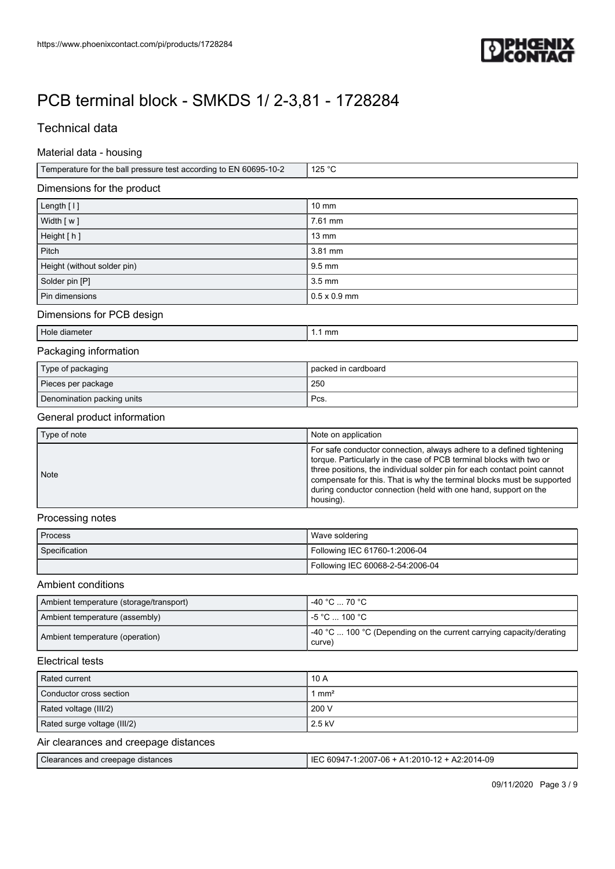

## Technical data

#### Material data - housing

| <sup>1</sup> Temperature for the ball pressure test according to EN 60695-10-2 | 125 °C |
|--------------------------------------------------------------------------------|--------|
|                                                                                |        |

#### Dimensions for the product

| Length [1]                  | $10 \text{ mm}$     |
|-----------------------------|---------------------|
| Width [w]                   | 7.61 mm             |
| Height [h]                  | $13 \text{ mm}$     |
| Pitch                       | 3.81 mm             |
| Height (without solder pin) | $9.5 \text{ mm}$    |
| Solder pin [P]              | $3.5 \text{ mm}$    |
| Pin dimensions              | $0.5 \times 0.9$ mm |

### Dimensions for PCB design

| ette<br>אנזר<br>наг<br>. | mm |
|--------------------------|----|
|                          |    |

#### Packaging information

| Type of packaging          | packed in cardboard |
|----------------------------|---------------------|
| Pieces per package         | 250                 |
| Denomination packing units | Pcs.                |

#### General product information

| Type of note | Note on application                                                                                                                                                                                                                                                                                                                                                               |
|--------------|-----------------------------------------------------------------------------------------------------------------------------------------------------------------------------------------------------------------------------------------------------------------------------------------------------------------------------------------------------------------------------------|
| <b>Note</b>  | For safe conductor connection, always adhere to a defined tightening<br>torque. Particularly in the case of PCB terminal blocks with two or<br>three positions, the individual solder pin for each contact point cannot<br>compensate for this. That is why the terminal blocks must be supported<br>during conductor connection (held with one hand, support on the<br>housing). |

#### Processing notes

| <b>Process</b> | Wave soldering                   |  |
|----------------|----------------------------------|--|
| Specification  | Following IEC 61760-1:2006-04    |  |
|                | Following IEC 60068-2-54:2006-04 |  |

### Ambient conditions

| Ambient temperature (storage/transport) | $-40 °C  70 °C$                                                                       |
|-----------------------------------------|---------------------------------------------------------------------------------------|
| Ambient temperature (assembly)          | l -5 °C  100 °C .                                                                     |
| Ambient temperature (operation)         | $\vert$ -40 °C  100 °C (Depending on the current carrying capacity/derating<br>curve) |

### Electrical tests

| Rated current                         | 10A             |
|---------------------------------------|-----------------|
| Conductor cross section               | mm <sup>2</sup> |
| Rated voltage (III/2)                 | 200 V           |
| Rated surge voltage (III/2)           | $2.5$ kV        |
| Air clearances and creepage distances |                 |

|  | Clearances and creepage distances | 80947-1:2007-06 + A1:2010-12 + A2:2014-09 -<br>IF١ |
|--|-----------------------------------|----------------------------------------------------|
|--|-----------------------------------|----------------------------------------------------|

09/11/2020 Page 3 / 9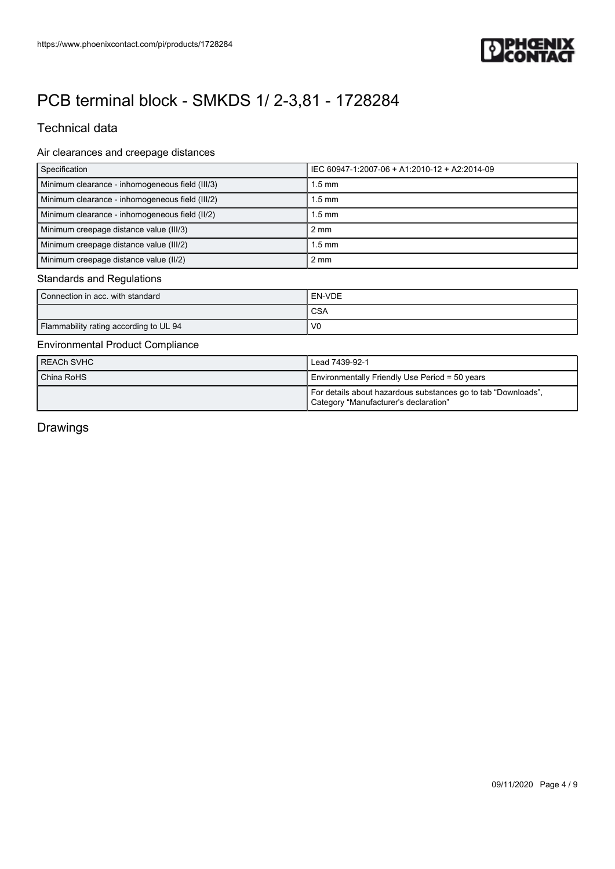

## Technical data

### Air clearances and creepage distances

| Specification                                   | IEC 60947-1:2007-06 + A1:2010-12 + A2:2014-09 |
|-------------------------------------------------|-----------------------------------------------|
| Minimum clearance - inhomogeneous field (III/3) | 1.5 mm                                        |
| Minimum clearance - inhomogeneous field (III/2) | 1.5 mm                                        |
| Minimum clearance - inhomogeneous field (II/2)  | $1.5 \text{ mm}$                              |
| Minimum creepage distance value (III/3)         | $2 \text{ mm}$                                |
| Minimum creepage distance value (III/2)         | $1.5 \text{ mm}$                              |
| Minimum creepage distance value (II/2)          | $2 \text{ mm}$                                |

#### Standards and Regulations

| Connection in acc. with standard       | ' EN-VDE       |
|----------------------------------------|----------------|
|                                        | <b>CSA</b>     |
| Flammability rating according to UL 94 | V <sub>0</sub> |

#### Environmental Product Compliance

| REACh SVHC | Lead 7439-92-1                                                                                         |
|------------|--------------------------------------------------------------------------------------------------------|
| China RoHS | Environmentally Friendly Use Period = 50 years                                                         |
|            | For details about hazardous substances go to tab "Downloads",<br>Category "Manufacturer's declaration" |

Drawings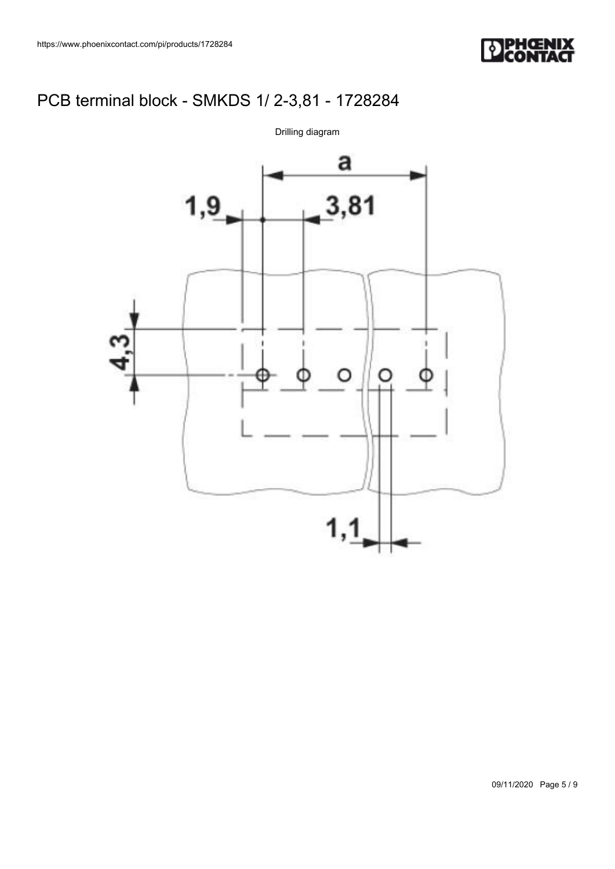



09/11/2020 Page 5 / 9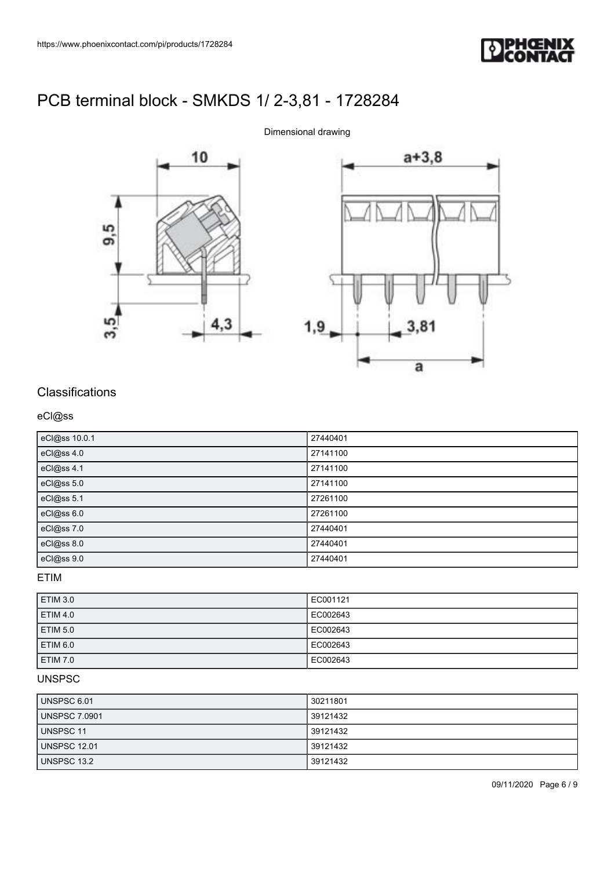





# Classifications

### eCl@ss

| eCl@ss 10.0.1 | 27440401 |
|---------------|----------|
| eCl@ss 4.0    | 27141100 |
| eCl@ss 4.1    | 27141100 |
| eCl@ss 5.0    | 27141100 |
| eCl@ss 5.1    | 27261100 |
| eCl@ss 6.0    | 27261100 |
| eCl@ss 7.0    | 27440401 |
| eCl@ss 8.0    | 27440401 |
| eCl@ss 9.0    | 27440401 |

ETIM

| <b>ETIM 3.0</b> | EC001121 |
|-----------------|----------|
| <b>ETIM 4.0</b> | EC002643 |
| <b>ETIM 5.0</b> | EC002643 |
| <b>ETIM 6.0</b> | EC002643 |
| <b>ETIM 7.0</b> | EC002643 |

### UNSPSC

| UNSPSC 6.01         | 30211801 |
|---------------------|----------|
| UNSPSC 7.0901       | 39121432 |
| UNSPSC 11           | 39121432 |
| <b>UNSPSC 12.01</b> | 39121432 |
| UNSPSC 13.2         | 39121432 |

09/11/2020 Page 6 / 9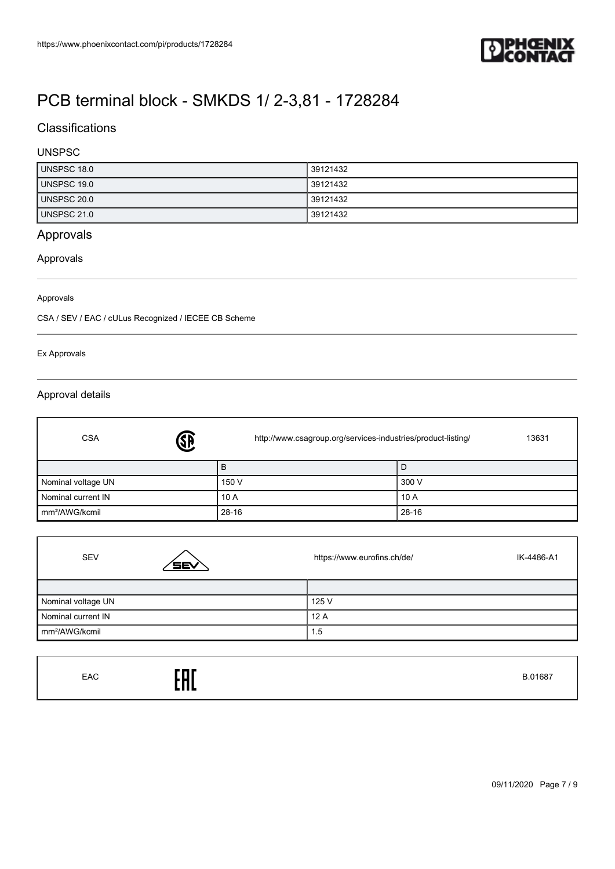

## **Classifications**

### UNSPSC

| UNSPSC 18.0        | 39121432 |
|--------------------|----------|
| UNSPSC 19.0        | 39121432 |
| <b>UNSPSC 20.0</b> | 39121432 |
| UNSPSC 21.0        | 39121432 |

## Approvals

### Approvals

#### Approvals

CSA / SEV / EAC / cULus Recognized / IECEE CB Scheme

#### Ex Approvals

#### Approval details

| <b>J</b><br><b>CSA</b>     | http://www.csagroup.org/services-industries/product-listing/ | 13631 |
|----------------------------|--------------------------------------------------------------|-------|
|                            | B                                                            | l D   |
| Nominal voltage UN         | 150 V                                                        | 300 V |
| Nominal current IN         | 10A                                                          | 10 A  |
| mm <sup>2</sup> /AWG/kcmil | $28 - 16$                                                    | 28-16 |

| <b>SEV</b>                 | <b>SEV</b> | https://www.eurofins.ch/de/ | IK-4486-A1 |
|----------------------------|------------|-----------------------------|------------|
|                            |            |                             |            |
| Nominal voltage UN         |            | 125 V                       |            |
| Nominal current IN         |            | 12A                         |            |
| mm <sup>2</sup> /AWG/kcmil |            | 1.5                         |            |

| EAC<br>EAC | B.01687 |
|------------|---------|
|------------|---------|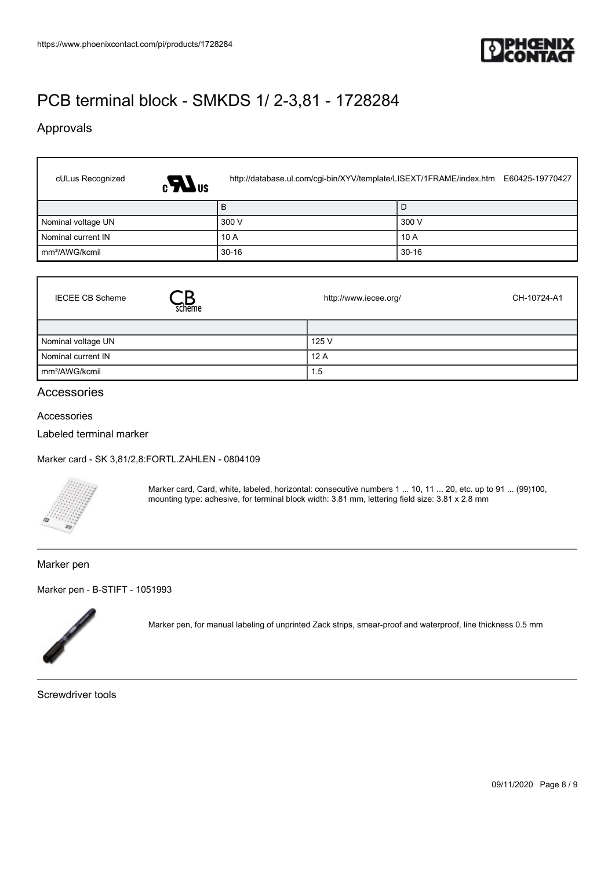

## Approvals

| cULus Recognized<br>$\epsilon$ <sub>Us</sub> |         | http://database.ul.com/cgi-bin/XYV/template/LISEXT/1FRAME/index.htm E60425-19770427 |
|----------------------------------------------|---------|-------------------------------------------------------------------------------------|
|                                              | B       | l D                                                                                 |
| Nominal voltage UN                           | 300 V   | 300 V                                                                               |
| Nominal current IN                           | 10A     | 10A                                                                                 |
| Im <sup>2</sup> /AWG/kcmil                   | $30-16$ | $30 - 16$                                                                           |

| <b>IECEE CB Scheme</b><br>scheme | http://www.iecee.org/ | CH-10724-A1 |
|----------------------------------|-----------------------|-------------|
|                                  |                       |             |
| Nominal voltage UN               | 125 V                 |             |
| Nominal current IN               | 12A                   |             |
| mm <sup>2</sup> /AWG/kcmil       | 1.5                   |             |

#### Accessories

Accessories

ſ

Labeled terminal marker

[Marker card - SK 3,81/2,8:FORTL.ZAHLEN - 0804109](https://www.phoenixcontact.com/de/products/0804109)



Marker card, Card, white, labeled, horizontal: consecutive numbers 1 ... 10, 11 ... 20, etc. up to 91 ... (99)100, mounting type: adhesive, for terminal block width: 3.81 mm, lettering field size: 3.81 x 2.8 mm

#### Marker pen

[Marker pen - B-STIFT - 1051993](https://www.phoenixcontact.com/de/products/1051993)



Marker pen, for manual labeling of unprinted Zack strips, smear-proof and waterproof, line thickness 0.5 mm

Screwdriver tools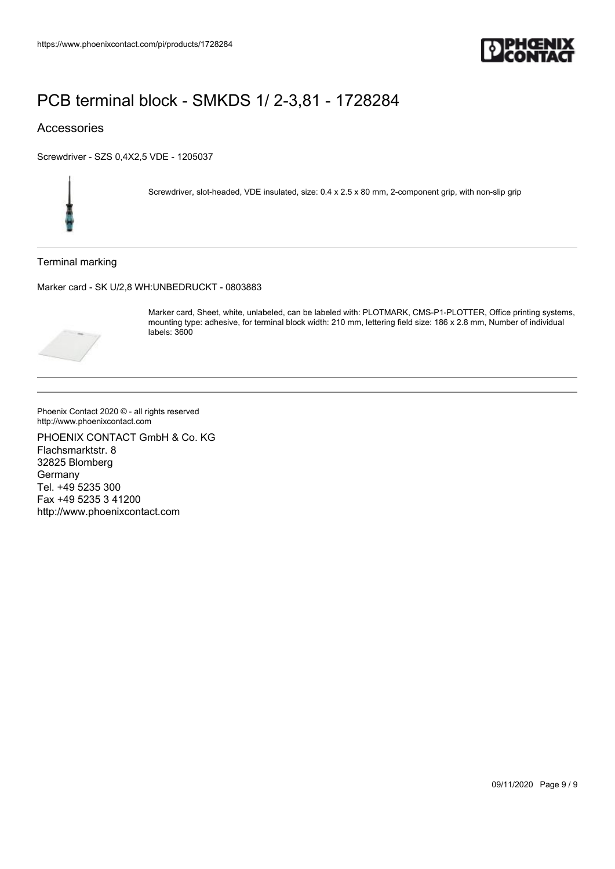

### Accessories

[Screwdriver - SZS 0,4X2,5 VDE - 1205037](https://www.phoenixcontact.com/de/products/1205037)



Screwdriver, slot-headed, VDE insulated, size: 0.4 x 2.5 x 80 mm, 2-component grip, with non-slip grip

Terminal marking

[Marker card - SK U/2,8 WH:UNBEDRUCKT - 0803883](https://www.phoenixcontact.com/de/products/0803883)



Marker card, Sheet, white, unlabeled, can be labeled with: PLOTMARK, CMS-P1-PLOTTER, Office printing systems, mounting type: adhesive, for terminal block width: 210 mm, lettering field size: 186 x 2.8 mm, Number of individual labels: 3600

Phoenix Contact 2020 © - all rights reserved http://www.phoenixcontact.com

PHOENIX CONTACT GmbH & Co. KG Flachsmarktstr. 8 32825 Blomberg Germany Tel. +49 5235 300 Fax +49 5235 3 41200 http://www.phoenixcontact.com